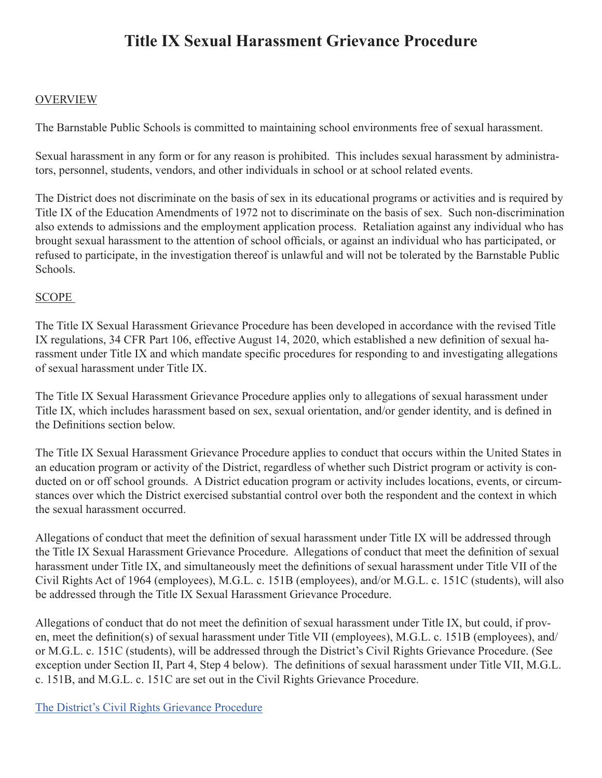# **Title IX Sexual Harassment Grievance Procedure**

## OVERVIEW

The Barnstable Public Schools is committed to maintaining school environments free of sexual harassment.

Sexual harassment in any form or for any reason is prohibited. This includes sexual harassment by administrators, personnel, students, vendors, and other individuals in school or at school related events.

The District does not discriminate on the basis of sex in its educational programs or activities and is required by Title IX of the Education Amendments of 1972 not to discriminate on the basis of sex. Such non-discrimination also extends to admissions and the employment application process. Retaliation against any individual who has brought sexual harassment to the attention of school officials, or against an individual who has participated, or refused to participate, in the investigation thereof is unlawful and will not be tolerated by the Barnstable Public Schools.

# SCOPE

The Title IX Sexual Harassment Grievance Procedure has been developed in accordance with the revised Title IX regulations, 34 CFR Part 106, effective August 14, 2020, which established a new definition of sexual harassment under Title IX and which mandate specific procedures for responding to and investigating allegations of sexual harassment under Title IX.

The Title IX Sexual Harassment Grievance Procedure applies only to allegations of sexual harassment under Title IX, which includes harassment based on sex, sexual orientation, and/or gender identity, and is defined in the Definitions section below.

The Title IX Sexual Harassment Grievance Procedure applies to conduct that occurs within the United States in an education program or activity of the District, regardless of whether such District program or activity is conducted on or off school grounds. A District education program or activity includes locations, events, or circumstances over which the District exercised substantial control over both the respondent and the context in which the sexual harassment occurred.

Allegations of conduct that meet the definition of sexual harassment under Title IX will be addressed through the Title IX Sexual Harassment Grievance Procedure. Allegations of conduct that meet the definition of sexual harassment under Title IX, and simultaneously meet the definitions of sexual harassment under Title VII of the Civil Rights Act of 1964 (employees), M.G.L. c. 151B (employees), and/or M.G.L. c. 151C (students), will also be addressed through the Title IX Sexual Harassment Grievance Procedure.

Allegations of conduct that do not meet the definition of sexual harassment under Title IX, but could, if proven, meet the definition(s) of sexual harassment under Title VII (employees), M.G.L. c. 151B (employees), and/ or M.G.L. c. 151C (students), will be addressed through the District's Civil Rights Grievance Procedure. (See exception under Section II, Part 4, Step 4 below). The definitions of sexual harassment under Title VII, M.G.L. c. 151B, and M.G.L. c. 151C are set out in the Civil Rights Grievance Procedure.

[The District's Civil Rights Grievance Procedure](file:/Users/b2btv/Desktop/Grievance%20Procedures%20files/Barnstable%20Civil%20Rights%20Procedures%20for%20all%20non-Title%20IX%20Claims%208.27.21_22.pdf)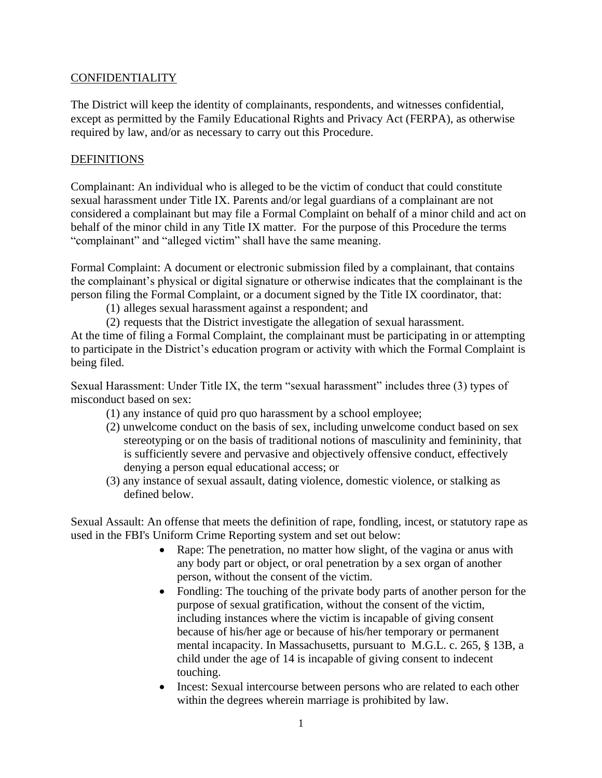# **CONFIDENTIALITY**

The District will keep the identity of complainants, respondents, and witnesses confidential, except as permitted by the Family Educational Rights and Privacy Act (FERPA), as otherwise required by law, and/or as necessary to carry out this Procedure.

#### **DEFINITIONS**

Complainant: An individual who is alleged to be the victim of conduct that could constitute sexual harassment under Title IX. Parents and/or legal guardians of a complainant are not considered a complainant but may file a Formal Complaint on behalf of a minor child and act on behalf of the minor child in any Title IX matter. For the purpose of this Procedure the terms "complainant" and "alleged victim" shall have the same meaning.

Formal Complaint: A document or electronic submission filed by a complainant, that contains the complainant's physical or digital signature or otherwise indicates that the complainant is the person filing the Formal Complaint, or a document signed by the Title IX coordinator, that:

- (1) alleges sexual harassment against a respondent; and
- (2) requests that the District investigate the allegation of sexual harassment.

At the time of filing a Formal Complaint, the complainant must be participating in or attempting to participate in the District's education program or activity with which the Formal Complaint is being filed.

Sexual Harassment: Under Title IX, the term "sexual harassment" includes three (3) types of misconduct based on sex:

- (1) any instance of quid pro quo harassment by a school employee;
- (2) unwelcome conduct on the basis of sex, including unwelcome conduct based on sex stereotyping or on the basis of traditional notions of masculinity and femininity, that is sufficiently severe and pervasive and objectively offensive conduct, effectively denying a person equal educational access; or
- (3) any instance of sexual assault, dating violence, domestic violence, or stalking as defined below.

Sexual Assault: An offense that meets the definition of rape, fondling, incest, or statutory rape as used in the FBI's Uniform Crime Reporting system and set out below:

- Rape: The penetration, no matter how slight, of the vagina or anus with any body part or object, or oral penetration by a sex organ of another person, without the consent of the victim.
- Fondling: The touching of the private body parts of another person for the purpose of sexual gratification, without the consent of the victim, including instances where the victim is incapable of giving consent because of his/her age or because of his/her temporary or permanent mental incapacity. In Massachusetts, pursuant to M.G.L. c. 265, § 13B, a child under the age of 14 is incapable of giving consent to indecent touching.
- Incest: Sexual intercourse between persons who are related to each other within the degrees wherein marriage is prohibited by law.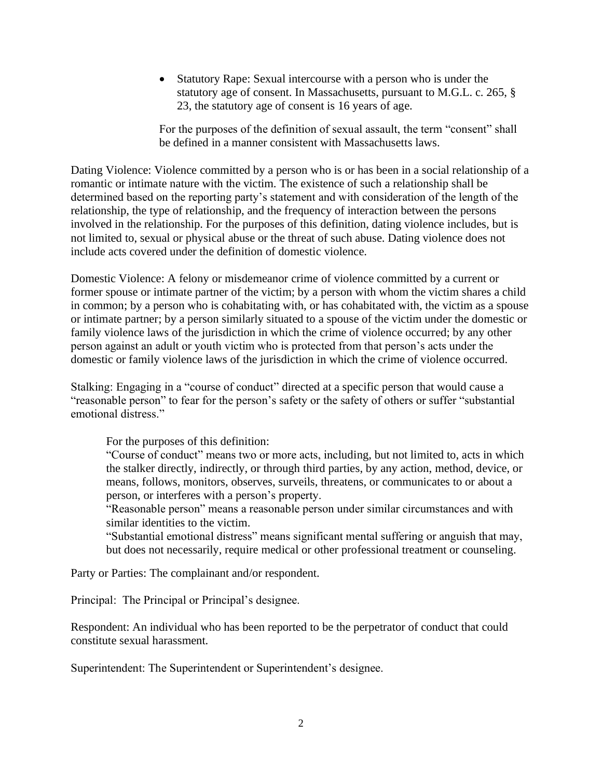• Statutory Rape: Sexual intercourse with a person who is under the statutory age of consent. In Massachusetts, pursuant to M.G.L. c. 265, § 23, the statutory age of consent is 16 years of age.

For the purposes of the definition of sexual assault, the term "consent" shall be defined in a manner consistent with Massachusetts laws.

Dating Violence: Violence committed by a person who is or has been in a social relationship of a romantic or intimate nature with the victim. The existence of such a relationship shall be determined based on the reporting party's statement and with consideration of the length of the relationship, the type of relationship, and the frequency of interaction between the persons involved in the relationship. For the purposes of this definition, dating violence includes, but is not limited to, sexual or physical abuse or the threat of such abuse. Dating violence does not include acts covered under the definition of domestic violence.

Domestic Violence: A felony or misdemeanor crime of violence committed by a current or former spouse or intimate partner of the victim; by a person with whom the victim shares a child in common; by a person who is cohabitating with, or has cohabitated with, the victim as a spouse or intimate partner; by a person similarly situated to a spouse of the victim under the domestic or family violence laws of the jurisdiction in which the crime of violence occurred; by any other person against an adult or youth victim who is protected from that person's acts under the domestic or family violence laws of the jurisdiction in which the crime of violence occurred.

Stalking: Engaging in a "course of conduct" directed at a specific person that would cause a "reasonable person" to fear for the person's safety or the safety of others or suffer "substantial emotional distress."

For the purposes of this definition:

"Course of conduct" means two or more acts, including, but not limited to, acts in which the stalker directly, indirectly, or through third parties, by any action, method, device, or means, follows, monitors, observes, surveils, threatens, or communicates to or about a person, or interferes with a person's property.

"Reasonable person" means a reasonable person under similar circumstances and with similar identities to the victim.

"Substantial emotional distress" means significant mental suffering or anguish that may, but does not necessarily, require medical or other professional treatment or counseling.

Party or Parties: The complainant and/or respondent.

Principal: The Principal or Principal's designee.

Respondent: An individual who has been reported to be the perpetrator of conduct that could constitute sexual harassment.

Superintendent: The Superintendent or Superintendent's designee.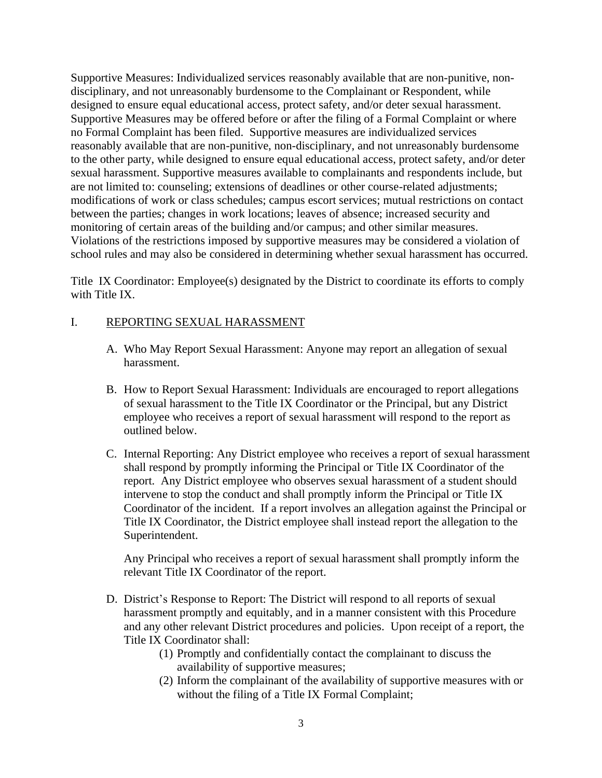Supportive Measures: Individualized services reasonably available that are non-punitive, nondisciplinary, and not unreasonably burdensome to the Complainant or Respondent, while designed to ensure equal educational access, protect safety, and/or deter sexual harassment. Supportive Measures may be offered before or after the filing of a Formal Complaint or where no Formal Complaint has been filed. Supportive measures are individualized services reasonably available that are non-punitive, non-disciplinary, and not unreasonably burdensome to the other party, while designed to ensure equal educational access, protect safety, and/or deter sexual harassment. Supportive measures available to complainants and respondents include, but are not limited to: counseling; extensions of deadlines or other course-related adjustments; modifications of work or class schedules; campus escort services; mutual restrictions on contact between the parties; changes in work locations; leaves of absence; increased security and monitoring of certain areas of the building and/or campus; and other similar measures. Violations of the restrictions imposed by supportive measures may be considered a violation of school rules and may also be considered in determining whether sexual harassment has occurred.

Title IX Coordinator: Employee(s) designated by the District to coordinate its efforts to comply with Title IX.

## I. REPORTING SEXUAL HARASSMENT

- A. Who May Report Sexual Harassment: Anyone may report an allegation of sexual harassment.
- B. How to Report Sexual Harassment: Individuals are encouraged to report allegations of sexual harassment to the Title IX Coordinator or the Principal, but any District employee who receives a report of sexual harassment will respond to the report as outlined below.
- C. Internal Reporting: Any District employee who receives a report of sexual harassment shall respond by promptly informing the Principal or Title IX Coordinator of the report. Any District employee who observes sexual harassment of a student should intervene to stop the conduct and shall promptly inform the Principal or Title IX Coordinator of the incident. If a report involves an allegation against the Principal or Title IX Coordinator, the District employee shall instead report the allegation to the Superintendent.

Any Principal who receives a report of sexual harassment shall promptly inform the relevant Title IX Coordinator of the report.

- D. District's Response to Report: The District will respond to all reports of sexual harassment promptly and equitably, and in a manner consistent with this Procedure and any other relevant District procedures and policies. Upon receipt of a report, the Title IX Coordinator shall:
	- (1) Promptly and confidentially contact the complainant to discuss the availability of supportive measures;
	- (2) Inform the complainant of the availability of supportive measures with or without the filing of a Title IX Formal Complaint;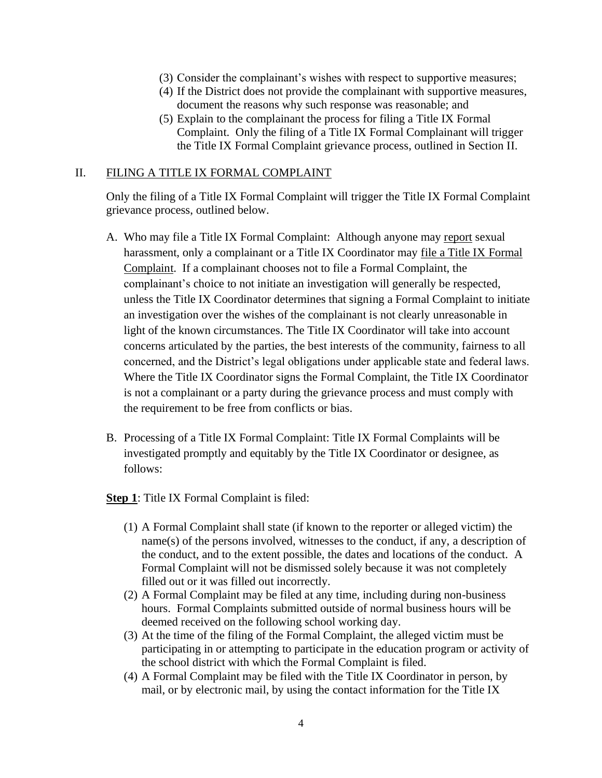- (3) Consider the complainant's wishes with respect to supportive measures;
- (4) If the District does not provide the complainant with supportive measures, document the reasons why such response was reasonable; and
- (5) Explain to the complainant the process for filing a Title IX Formal Complaint. Only the filing of a Title IX Formal Complainant will trigger the Title IX Formal Complaint grievance process, outlined in Section II.

#### II. FILING A TITLE IX FORMAL COMPLAINT

Only the filing of a Title IX Formal Complaint will trigger the Title IX Formal Complaint grievance process, outlined below.

- A. Who may file a Title IX Formal Complaint: Although anyone may report sexual harassment, only a complainant or a Title IX Coordinator may file a Title IX Formal Complaint. If a complainant chooses not to file a Formal Complaint, the complainant's choice to not initiate an investigation will generally be respected, unless the Title IX Coordinator determines that signing a Formal Complaint to initiate an investigation over the wishes of the complainant is not clearly unreasonable in light of the known circumstances. The Title IX Coordinator will take into account concerns articulated by the parties, the best interests of the community, fairness to all concerned, and the District's legal obligations under applicable state and federal laws. Where the Title IX Coordinator signs the Formal Complaint, the Title IX Coordinator is not a complainant or a party during the grievance process and must comply with the requirement to be free from conflicts or bias.
- B. Processing of a Title IX Formal Complaint: Title IX Formal Complaints will be investigated promptly and equitably by the Title IX Coordinator or designee, as follows:

**Step 1**: Title IX Formal Complaint is filed:

- (1) A Formal Complaint shall state (if known to the reporter or alleged victim) the name(s) of the persons involved, witnesses to the conduct, if any, a description of the conduct, and to the extent possible, the dates and locations of the conduct. A Formal Complaint will not be dismissed solely because it was not completely filled out or it was filled out incorrectly.
- (2) A Formal Complaint may be filed at any time, including during non-business hours. Formal Complaints submitted outside of normal business hours will be deemed received on the following school working day.
- (3) At the time of the filing of the Formal Complaint, the alleged victim must be participating in or attempting to participate in the education program or activity of the school district with which the Formal Complaint is filed.
- (4) A Formal Complaint may be filed with the Title IX Coordinator in person, by mail, or by electronic mail, by using the contact information for the Title IX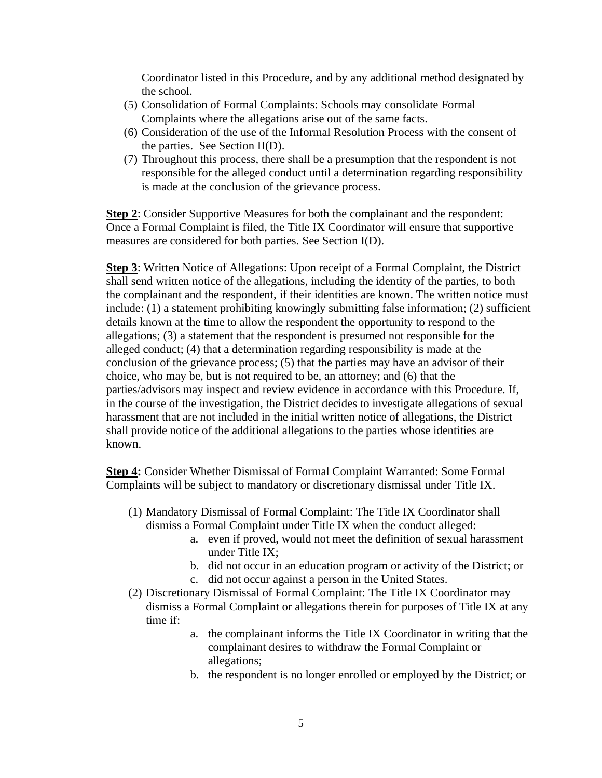Coordinator listed in this Procedure, and by any additional method designated by the school.

- (5) Consolidation of Formal Complaints: Schools may consolidate Formal Complaints where the allegations arise out of the same facts.
- (6) Consideration of the use of the Informal Resolution Process with the consent of the parties. See Section II(D).
- (7) Throughout this process, there shall be a presumption that the respondent is not responsible for the alleged conduct until a determination regarding responsibility is made at the conclusion of the grievance process.

**Step 2**: Consider Supportive Measures for both the complainant and the respondent: Once a Formal Complaint is filed, the Title IX Coordinator will ensure that supportive measures are considered for both parties. See Section I(D).

**Step 3**: Written Notice of Allegations: Upon receipt of a Formal Complaint, the District shall send written notice of the allegations, including the identity of the parties, to both the complainant and the respondent, if their identities are known. The written notice must include: (1) a statement prohibiting knowingly submitting false information; (2) sufficient details known at the time to allow the respondent the opportunity to respond to the allegations; (3) a statement that the respondent is presumed not responsible for the alleged conduct; (4) that a determination regarding responsibility is made at the conclusion of the grievance process; (5) that the parties may have an advisor of their choice, who may be, but is not required to be, an attorney; and (6) that the parties/advisors may inspect and review evidence in accordance with this Procedure. If, in the course of the investigation, the District decides to investigate allegations of sexual harassment that are not included in the initial written notice of allegations, the District shall provide notice of the additional allegations to the parties whose identities are known.

**Step 4:** Consider Whether Dismissal of Formal Complaint Warranted: Some Formal Complaints will be subject to mandatory or discretionary dismissal under Title IX.

- (1) Mandatory Dismissal of Formal Complaint: The Title IX Coordinator shall dismiss a Formal Complaint under Title IX when the conduct alleged:
	- a. even if proved, would not meet the definition of sexual harassment under Title IX;
	- b. did not occur in an education program or activity of the District; or
	- c. did not occur against a person in the United States.
- (2) Discretionary Dismissal of Formal Complaint: The Title IX Coordinator may dismiss a Formal Complaint or allegations therein for purposes of Title IX at any time if:
	- a. the complainant informs the Title IX Coordinator in writing that the complainant desires to withdraw the Formal Complaint or allegations;
	- b. the respondent is no longer enrolled or employed by the District; or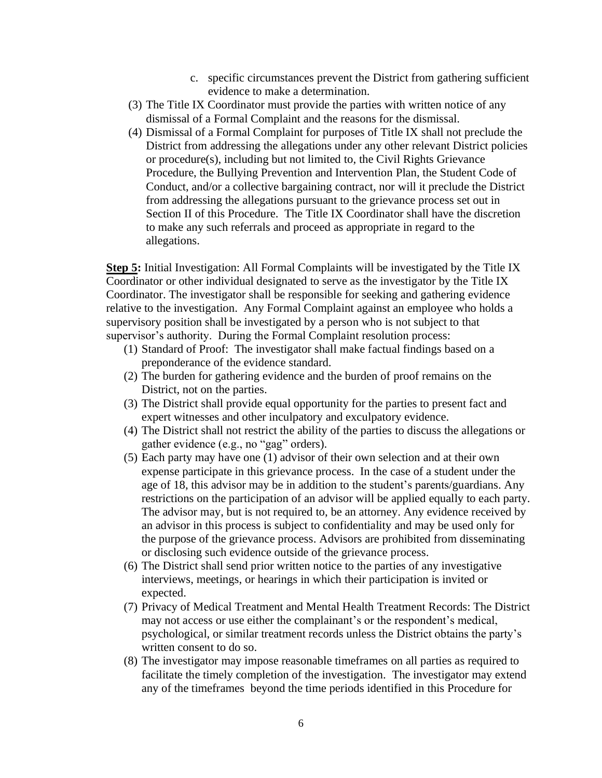- c. specific circumstances prevent the District from gathering sufficient evidence to make a determination.
- (3) The Title IX Coordinator must provide the parties with written notice of any dismissal of a Formal Complaint and the reasons for the dismissal.
- (4) Dismissal of a Formal Complaint for purposes of Title IX shall not preclude the District from addressing the allegations under any other relevant District policies or procedure(s), including but not limited to, the Civil Rights Grievance Procedure, the Bullying Prevention and Intervention Plan, the Student Code of Conduct, and/or a collective bargaining contract, nor will it preclude the District from addressing the allegations pursuant to the grievance process set out in Section II of this Procedure. The Title IX Coordinator shall have the discretion to make any such referrals and proceed as appropriate in regard to the allegations.

**Step 5:** Initial Investigation: All Formal Complaints will be investigated by the Title IX Coordinator or other individual designated to serve as the investigator by the Title IX Coordinator. The investigator shall be responsible for seeking and gathering evidence relative to the investigation. Any Formal Complaint against an employee who holds a supervisory position shall be investigated by a person who is not subject to that supervisor's authority. During the Formal Complaint resolution process:

- (1) Standard of Proof: The investigator shall make factual findings based on a preponderance of the evidence standard.
- (2) The burden for gathering evidence and the burden of proof remains on the District, not on the parties.
- (3) The District shall provide equal opportunity for the parties to present fact and expert witnesses and other inculpatory and exculpatory evidence.
- (4) The District shall not restrict the ability of the parties to discuss the allegations or gather evidence (e.g., no "gag" orders).
- (5) Each party may have one (1) advisor of their own selection and at their own expense participate in this grievance process. In the case of a student under the age of 18, this advisor may be in addition to the student's parents/guardians. Any restrictions on the participation of an advisor will be applied equally to each party. The advisor may, but is not required to, be an attorney. Any evidence received by an advisor in this process is subject to confidentiality and may be used only for the purpose of the grievance process. Advisors are prohibited from disseminating or disclosing such evidence outside of the grievance process.
- (6) The District shall send prior written notice to the parties of any investigative interviews, meetings, or hearings in which their participation is invited or expected.
- (7) Privacy of Medical Treatment and Mental Health Treatment Records: The District may not access or use either the complainant's or the respondent's medical, psychological, or similar treatment records unless the District obtains the party's written consent to do so.
- (8) The investigator may impose reasonable timeframes on all parties as required to facilitate the timely completion of the investigation. The investigator may extend any of the timeframes beyond the time periods identified in this Procedure for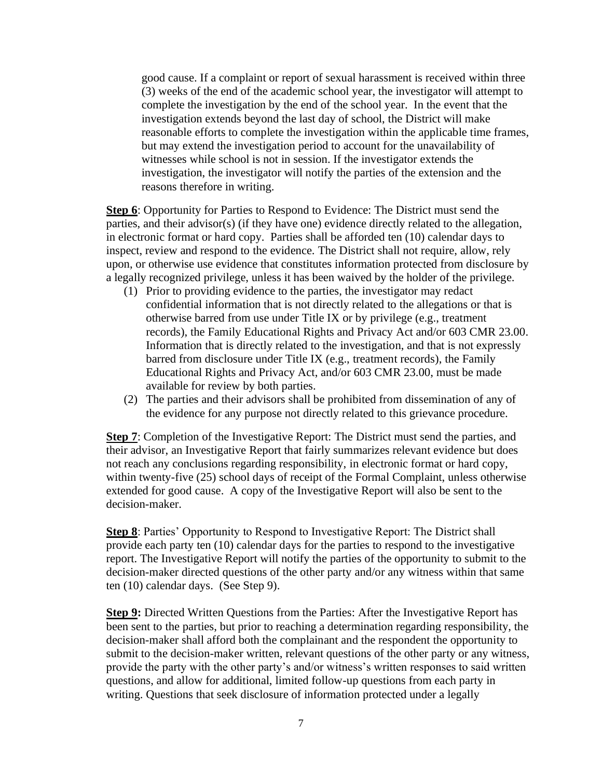good cause. If a complaint or report of sexual harassment is received within three (3) weeks of the end of the academic school year, the investigator will attempt to complete the investigation by the end of the school year. In the event that the investigation extends beyond the last day of school, the District will make reasonable efforts to complete the investigation within the applicable time frames, but may extend the investigation period to account for the unavailability of witnesses while school is not in session. If the investigator extends the investigation, the investigator will notify the parties of the extension and the reasons therefore in writing.

**Step 6**: Opportunity for Parties to Respond to Evidence: The District must send the parties, and their advisor(s) (if they have one) evidence directly related to the allegation, in electronic format or hard copy. Parties shall be afforded ten (10) calendar days to inspect, review and respond to the evidence. The District shall not require, allow, rely upon, or otherwise use evidence that constitutes information protected from disclosure by a legally recognized privilege, unless it has been waived by the holder of the privilege.

- (1) Prior to providing evidence to the parties, the investigator may redact confidential information that is not directly related to the allegations or that is otherwise barred from use under Title IX or by privilege (e.g., treatment records), the Family Educational Rights and Privacy Act and/or 603 CMR 23.00. Information that is directly related to the investigation, and that is not expressly barred from disclosure under Title IX (e.g., treatment records), the Family Educational Rights and Privacy Act, and/or 603 CMR 23.00, must be made available for review by both parties.
- (2) The parties and their advisors shall be prohibited from dissemination of any of the evidence for any purpose not directly related to this grievance procedure.

**Step 7:** Completion of the Investigative Report: The District must send the parties, and their advisor, an Investigative Report that fairly summarizes relevant evidence but does not reach any conclusions regarding responsibility, in electronic format or hard copy, within twenty-five (25) school days of receipt of the Formal Complaint, unless otherwise extended for good cause. A copy of the Investigative Report will also be sent to the decision-maker.

**Step 8**: Parties' Opportunity to Respond to Investigative Report: The District shall provide each party ten (10) calendar days for the parties to respond to the investigative report. The Investigative Report will notify the parties of the opportunity to submit to the decision-maker directed questions of the other party and/or any witness within that same ten (10) calendar days. (See Step 9).

**Step 9:** Directed Written Questions from the Parties: After the Investigative Report has been sent to the parties, but prior to reaching a determination regarding responsibility, the decision-maker shall afford both the complainant and the respondent the opportunity to submit to the decision-maker written, relevant questions of the other party or any witness, provide the party with the other party's and/or witness's written responses to said written questions, and allow for additional, limited follow-up questions from each party in writing. Questions that seek disclosure of information protected under a legally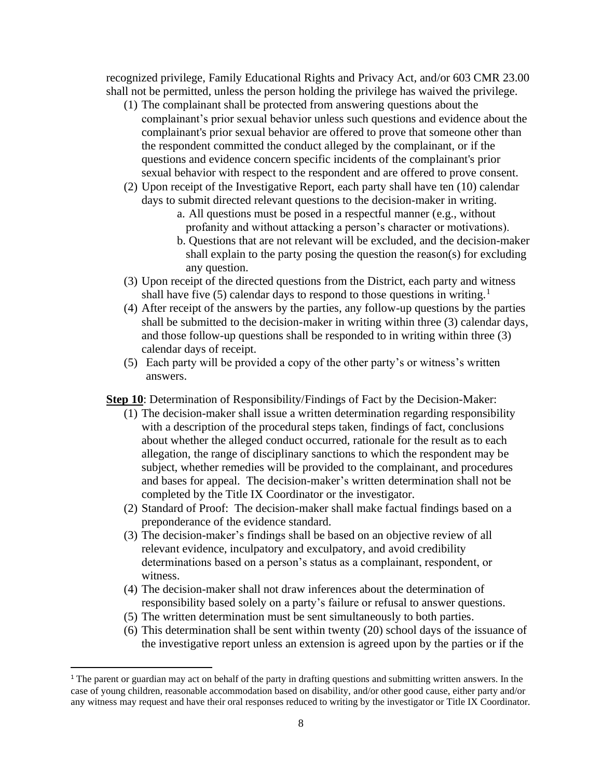recognized privilege, Family Educational Rights and Privacy Act, and/or 603 CMR 23.00 shall not be permitted, unless the person holding the privilege has waived the privilege.

- (1) The complainant shall be protected from answering questions about the complainant's prior sexual behavior unless such questions and evidence about the [complainant's](https://www.law.cornell.edu/definitions/index.php?width=840&height=800&iframe=true&def_id=8892ba8d8946df3ba0d84b44a9517e8f&term_occur=999&term_src=Title:34:Subtitle:B:Chapter:I:Part:106:Subpart:D:106.45) prior sexual behavior are offered to prove that someone other than the [respondent](https://www.law.cornell.edu/definitions/index.php?width=840&height=800&iframe=true&def_id=6b8378698ed1a77c3870fbcd71e91132&term_occur=999&term_src=Title:34:Subtitle:B:Chapter:I:Part:106:Subpart:D:106.45) committed the conduct alleged by the [complainant,](https://www.law.cornell.edu/definitions/index.php?width=840&height=800&iframe=true&def_id=8892ba8d8946df3ba0d84b44a9517e8f&term_occur=999&term_src=Title:34:Subtitle:B:Chapter:I:Part:106:Subpart:D:106.45) or if the questions and evidence concern specific incidents of the [complainant'](https://www.law.cornell.edu/definitions/index.php?width=840&height=800&iframe=true&def_id=8892ba8d8946df3ba0d84b44a9517e8f&term_occur=999&term_src=Title:34:Subtitle:B:Chapter:I:Part:106:Subpart:D:106.45)s prior sexual behavior with respect to the [respondent](https://www.law.cornell.edu/definitions/index.php?width=840&height=800&iframe=true&def_id=6b8378698ed1a77c3870fbcd71e91132&term_occur=999&term_src=Title:34:Subtitle:B:Chapter:I:Part:106:Subpart:D:106.45) and are offered to prove [consent.](https://www.law.cornell.edu/definitions/index.php?width=840&height=800&iframe=true&def_id=14632bc1e91bb4a9532782d9872e48a1&term_occur=999&term_src=Title:34:Subtitle:B:Chapter:I:Part:106:Subpart:D:106.45)
- (2) Upon receipt of the Investigative Report, each party shall have ten (10) calendar days to submit directed relevant questions to the decision-maker in writing.
	- a. All questions must be posed in a respectful manner (e.g., without profanity and without attacking a person's character or motivations).
	- b. Questions that are not relevant will be excluded, and the decision-maker shall explain to the party posing the question the reason(s) for excluding any question.
- (3) Upon receipt of the directed questions from the District, each party and witness shall have five (5) calendar days to respond to those questions in writing.<sup>1</sup>
- (4) After receipt of the answers by the parties, any follow-up questions by the parties shall be submitted to the decision-maker in writing within three (3) calendar days, and those follow-up questions shall be responded to in writing within three (3) calendar days of receipt.
- (5) Each party will be provided a copy of the other party's or witness's written answers.

**Step 10**: Determination of Responsibility/Findings of Fact by the Decision-Maker:

- (1) The decision-maker shall issue a written determination regarding responsibility with a description of the procedural steps taken, findings of fact, conclusions about whether the alleged conduct occurred, rationale for the result as to each allegation, the range of disciplinary sanctions to which the respondent may be subject, whether remedies will be provided to the complainant, and procedures and bases for appeal. The decision-maker's written determination shall not be completed by the Title IX Coordinator or the investigator.
- (2) Standard of Proof: The decision-maker shall make factual findings based on a preponderance of the evidence standard.
- (3) The decision-maker's findings shall be based on an objective review of all relevant evidence, inculpatory and exculpatory, and avoid credibility determinations based on a person's status as a complainant, respondent, or witness.
- (4) The decision-maker shall not draw inferences about the determination of responsibility based solely on a party's failure or refusal to answer questions.
- (5) The written determination must be sent simultaneously to both parties.
- (6) This determination shall be sent within twenty (20) school days of the issuance of the investigative report unless an extension is agreed upon by the parties or if the

<sup>&</sup>lt;sup>1</sup> The parent or guardian may act on behalf of the party in drafting questions and submitting written answers. In the case of young children, reasonable accommodation based on disability, and/or other good cause, either party and/or any witness may request and have their oral responses reduced to writing by the investigator or Title IX Coordinator.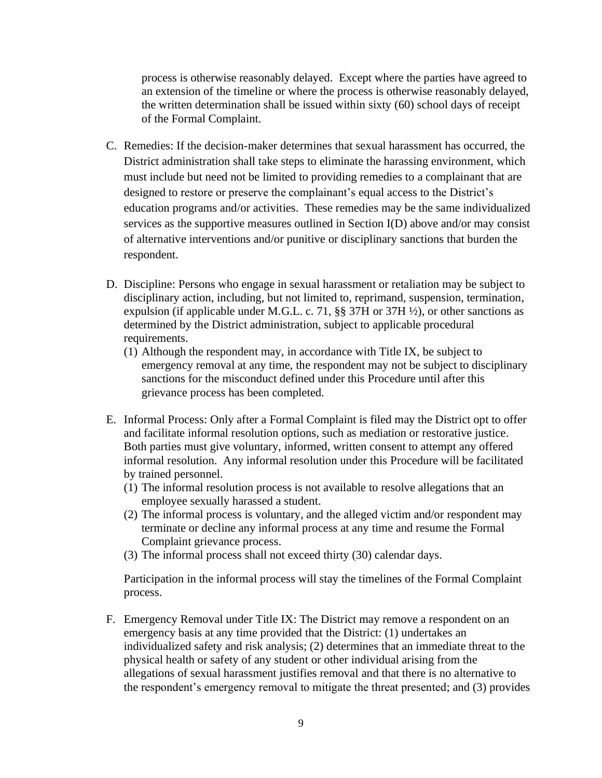process is otherwise reasonably delayed. Except where the parties have agreed to an extension of the timeline or where the process is otherwise reasonably delayed, the written determination shall be issued within sixty (60) school days of receipt of the Formal Complaint.

- C. Remedies: If the decision-maker determines that sexual harassment has occurred, the District administration shall take steps to eliminate the harassing environment, which must include but need not be limited to providing remedies to a complainant that are designed to restore or preserve the complainant's equal access to the District's education programs and/or activities. These remedies may be the same individualized services as the supportive measures outlined in Section I(D) above and/or may consist of alternative interventions and/or punitive or disciplinary sanctions that burden the respondent.
- D. Discipline: Persons who engage in sexual harassment or retaliation may be subject to disciplinary action, including, but not limited to, reprimand, suspension, termination, expulsion (if applicable under M.G.L. c. 71, §§ 37H or 37H ½), or other sanctions as determined by the District administration, subject to applicable procedural requirements.
	- (1) Although the respondent may, in accordance with Title IX, be subject to emergency removal at any time, the respondent may not be subject to disciplinary sanctions for the misconduct defined under this Procedure until after this grievance process has been completed.
- E. Informal Process: Only after a Formal Complaint is filed may the District opt to offer and facilitate informal resolution options, such as mediation or restorative justice. Both parties must give voluntary, informed, written consent to attempt any offered informal resolution. Any informal resolution under this Procedure will be facilitated by trained personnel.
	- (1) The informal resolution process is not available to resolve allegations that an employee sexually harassed a student.
	- (2) The informal process is voluntary, and the alleged victim and/or respondent may terminate or decline any informal process at any time and resume the Formal Complaint grievance process.
	- (3) The informal process shall not exceed thirty (30) calendar days.

Participation in the informal process will stay the timelines of the Formal Complaint process.

F. Emergency Removal under Title IX: The District may remove a respondent on an emergency basis at any time provided that the District: (1) undertakes an individualized safety and risk analysis; (2) determines that an immediate threat to the physical health or safety of any student or other individual arising from the allegations of sexual harassment justifies removal and that there is no alternative to the respondent's emergency removal to mitigate the threat presented; and (3) provides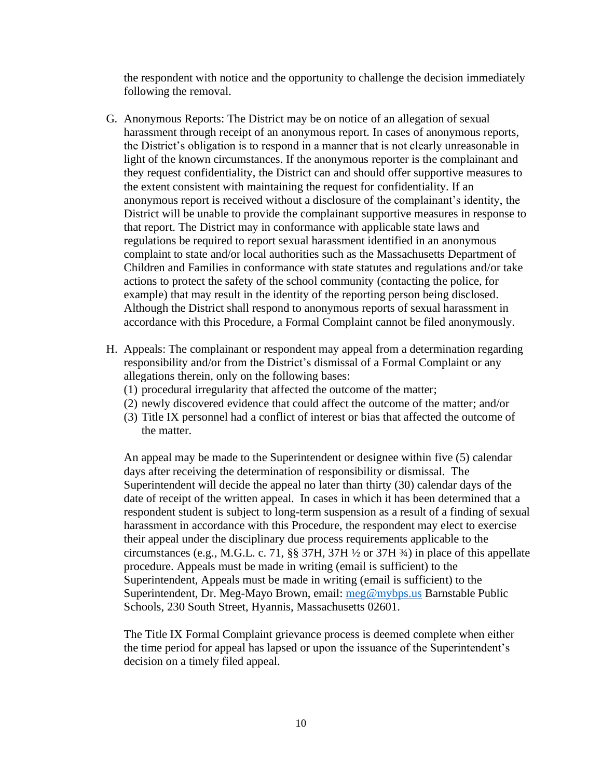the respondent with notice and the opportunity to challenge the decision immediately following the removal.

- G. Anonymous Reports: The District may be on notice of an allegation of sexual harassment through receipt of an anonymous report. In cases of anonymous reports, the District's obligation is to respond in a manner that is not clearly unreasonable in light of the known circumstances. If the anonymous reporter is the complainant and they request confidentiality, the District can and should offer supportive measures to the extent consistent with maintaining the request for confidentiality. If an anonymous report is received without a disclosure of the complainant's identity, the District will be unable to provide the complainant supportive measures in response to that report. The District may in conformance with applicable state laws and regulations be required to report sexual harassment identified in an anonymous complaint to state and/or local authorities such as the Massachusetts Department of Children and Families in conformance with state statutes and regulations and/or take actions to protect the safety of the school community (contacting the police, for example) that may result in the identity of the reporting person being disclosed. Although the District shall respond to anonymous reports of sexual harassment in accordance with this Procedure, a Formal Complaint cannot be filed anonymously.
- H. Appeals: The complainant or respondent may appeal from a determination regarding responsibility and/or from the District's dismissal of a Formal Complaint or any allegations therein, only on the following bases:
	- (1) procedural irregularity that affected the outcome of the matter;
	- (2) newly discovered evidence that could affect the outcome of the matter; and/or
	- (3) Title IX personnel had a conflict of interest or bias that affected the outcome of the matter.

An appeal may be made to the Superintendent or designee within five (5) calendar days after receiving the determination of responsibility or dismissal. The Superintendent will decide the appeal no later than thirty (30) calendar days of the date of receipt of the written appeal. In cases in which it has been determined that a respondent student is subject to long-term suspension as a result of a finding of sexual harassment in accordance with this Procedure, the respondent may elect to exercise their appeal under the disciplinary due process requirements applicable to the circumstances (e.g., M.G.L. c. 71, §§ 37H, 37H ½ or 37H ¾) in place of this appellate procedure. Appeals must be made in writing (email is sufficient) to the Superintendent, Appeals must be made in writing (email is sufficient) to the Superintendent, Dr. Meg-Mayo Brown, email: [meg@mybps.us](mailto:meg@mybps.us) Barnstable Public Schools, 230 South Street, Hyannis, Massachusetts 02601.

The Title IX Formal Complaint grievance process is deemed complete when either the time period for appeal has lapsed or upon the issuance of the Superintendent's decision on a timely filed appeal.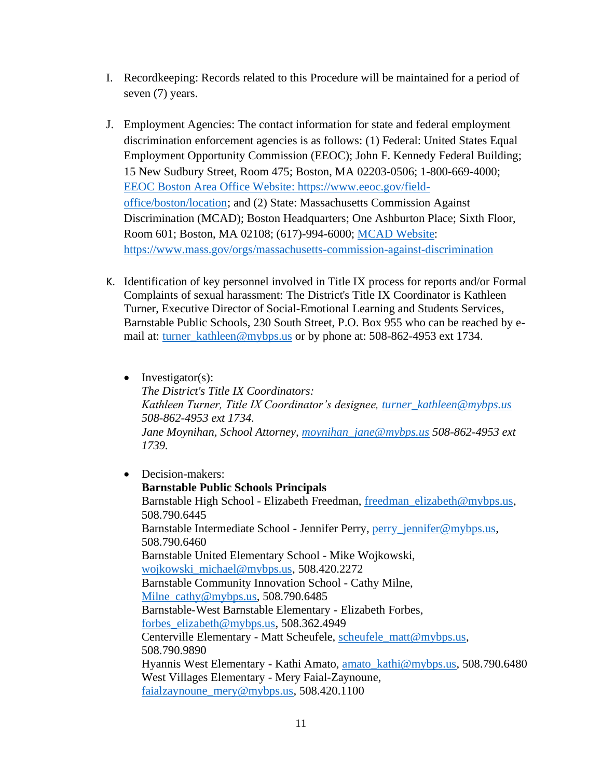- I. Recordkeeping: Records related to this Procedure will be maintained for a period of seven (7) years.
- J. Employment Agencies: The contact information for state and federal employment discrimination enforcement agencies is as follows: (1) Federal: United States Equal Employment Opportunity Commission (EEOC); John F. Kennedy Federal Building; 15 New Sudbury Street, Room 475; Boston, MA 02203-0506; 1-800-669-4000; [EEOC Boston Area Office Website: https://www.eeoc.gov/field](https://www.eeoc.gov/field-office/boston/location)[office/boston/location;](https://www.eeoc.gov/field-office/boston/location) and (2) State: Massachusetts Commission Against Discrimination (MCAD); Boston Headquarters; One Ashburton Place; Sixth Floor, Room 601; Boston, MA 02108; (617)-994-6000; [MCAD Website:](https://www.mass.gov/orgs/massachusetts-commission-against-discrimination) <https://www.mass.gov/orgs/massachusetts-commission-against-discrimination>
- K. Identification of key personnel involved in Title IX process for reports and/or Formal Complaints of sexual harassment: The District's Title IX Coordinator is Kathleen Turner, Executive Director of Social-Emotional Learning and Students Services, Barnstable Public Schools, 230 South Street, P.O. Box 955 who can be reached by email at: [turner\\_kathleen@mybps.us](mailto:turner_kathleen@mybps.us) or by phone at: 508-862-4953 ext 1734.
	- Investigator(s): *The District's Title IX Coordinators: Kathleen Turner, Title IX Coordinator's designee, [turner\\_kathleen@mybps.us](mailto:turner_kathleen@mybps.us) 508-862-4953 ext 1734. Jane Moynihan, School Attorney, [moynihan\\_jane@mybps.us](mailto:moynihan_jane@mybps.us) 508-862-4953 ext 1739.*

• Decision-makers: **Barnstable Public Schools Principals** Barnstable High School - Elizabeth Freedman, [freedman\\_elizabeth@mybps.us,](mailto:freedman_elizabeth@mybps.us) 508.790.6445 Barnstable Intermediate School - Jennifer Perry, [perry\\_jennifer@mybps.us,](mailto:perry_jennifer@mybps.us) 508.790.6460 Barnstable United Elementary School - Mike Wojkowski, [wojkowski\\_michael@mybps.us,](mailto:wojkowski_michael@mybps.us) 508.420.2272 Barnstable Community Innovation School - Cathy Milne, [Milne\\_cathy@mybps.us,](mailto:Milne_cathy@mybps.us) 508.790.6485 Barnstable-West Barnstable Elementary - Elizabeth Forbes, [forbes\\_elizabeth@mybps.us,](mailto:forbes_elizabeth@mybps.us) 508.362.4949 Centerville Elementary - Matt Scheufele, [scheufele\\_matt@mybps.us,](mailto:scheufele_matthew@mybps.us) 508.790.9890 Hyannis West Elementary - Kathi Amato, [amato\\_kathi@mybps.us,](mailto:amato_kathi@mybps.us) 508.790.6480 West Villages Elementary - Mery Faial-Zaynoune, [faialzaynoune\\_mery@mybps.us,](mailto:faialzaynoune_mery@mybps.us) 508.420.1100